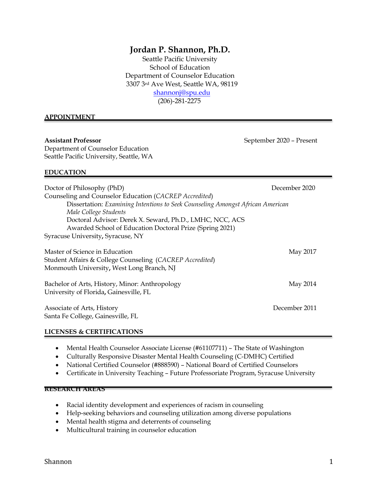# **Jordan P. Shannon, Ph.D.**

Seattle Pacific University School of Education Department of Counselor Education 3307 3rd Ave West, Seattle WA, 98119 [shannonj@spu.edu](mailto:shannonj@spu.edu) (206)-281-2275

#### **APPOINTMENT**

**Assistant Professor** September 2020 – Present Department of Counselor Education Seattle Pacific University, Seattle, WA

#### **EDUCATION**

| Doctor of Philosophy (PhD)<br>Counseling and Counselor Education (CACREP Accredited)<br>Dissertation: Examining Intentions to Seek Counseling Amongst African American<br>Male College Students<br>Doctoral Advisor: Derek X. Seward, Ph.D., LMHC, NCC, ACS<br>Awarded School of Education Doctoral Prize (Spring 2021)<br>Syracuse University, Syracuse, NY | December 2020 |
|--------------------------------------------------------------------------------------------------------------------------------------------------------------------------------------------------------------------------------------------------------------------------------------------------------------------------------------------------------------|---------------|
| Master of Science in Education<br>Student Affairs & College Counseling (CACREP Accredited)<br>Monmouth University, West Long Branch, NJ                                                                                                                                                                                                                      | May 2017      |
| Bachelor of Arts, History, Minor: Anthropology<br>University of Florida, Gainesville, FL                                                                                                                                                                                                                                                                     | May 2014      |
| Associate of Arts, History                                                                                                                                                                                                                                                                                                                                   | December 2011 |

Santa Fe College, Gainesville, FL

#### **LICENSES & CERTIFICATIONS**

- Mental Health Counselor Associate License (#61107711) The State of Washington
- Culturally Responsive Disaster Mental Health Counseling (C-DMHC) Certified
- National Certified Counselor (#888590) National Board of Certified Counselors
- Certificate in University Teaching Future Professoriate Program, Syracuse University

#### **RESEARCH AREAS**

- Racial identity development and experiences of racism in counseling
- Help-seeking behaviors and counseling utilization among diverse populations
- Mental health stigma and deterrents of counseling
- Multicultural training in counselor education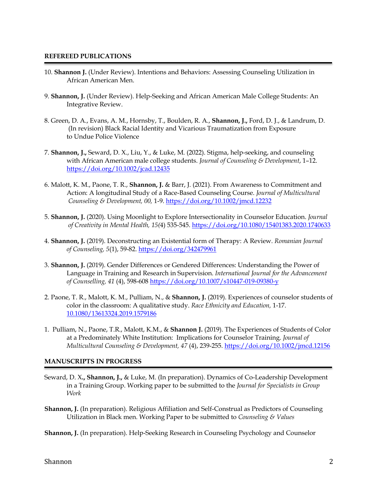#### **REFEREED PUBLICATIONS**

- 10. **Shannon J.** (Under Review). Intentions and Behaviors: Assessing Counseling Utilization in African American Men.
- 9. **Shannon, J.** (Under Review). Help-Seeking and African American Male College Students: An Integrative Review.
- 8. Green, D. A., Evans, A. M., Hornsby, T., Boulden, R. A., **Shannon, J.,** Ford, D. J., & Landrum, D. (In revision) Black Racial Identity and Vicarious Traumatization from Exposure to Undue Police Violence
- 7. **Shannon, J.,** Seward, D. X., Liu, Y., & Luke, M. (2022). Stigma, help-seeking, and counseling with African American male college students. *Journal of Counseling & Development*, 1–12. <https://doi.org/10.1002/jcad.12435>
- 6. Malott, K. M., Paone, T. R., **Shannon, J.** & Barr, J. (2021). From Awareness to Commitment and Action: A longitudinal Study of a Race-Based Counseling Course. *Journal of Multicultural Counseling & Development, 00,* 1-9. <https://doi.org/10.1002/jmcd.12232>
- 5. **Shannon, J.** (2020). Using Moonlight to Explore Intersectionality in Counselor Education. *Journal of Creativity in Mental Health, 15(*4) 535-545.<https://doi.org/10.1080/15401383.2020.1740633>
- 4. **Shannon, J.** (2019). Deconstructing an Existential form of Therapy: A Review. *Romanian Journal of Counseling, 5*(1), 59-82. [https://doi.org/342479961](https://www.researchgate.net/profile/Jordan_Shannon2/publication/342479961_Deconstructing_an_Existential_form_of_Therapy_A_Review/links/5ef63b57299bf18816e8a997/Deconstructing-an-Existential-form-of-Therapy-A-Review.pdf)
- 3. **Shannon, J.** (2019). Gender Differences or Gendered Differences: Understanding the Power of Language in Training and Research in Supervision. *International Journal for the Advancement of Counselling, 41* (4), 598-608 <https://doi.org/10.1007/s10447-019-09380-y>
- 2. Paone, T. R., Malott, K. M., Pulliam, N., & **Shannon, J.** (2019). Experiences of counselor students of color in the classroom: A qualitative study. *Race Ethnicity and Education,* 1-17. [10.1080/13613324.2019.1579186](https://doi-org.libezproxy2.syr.edu/10.1080/13613324.2019.1579186)
- 1. Pulliam, N., Paone, T.R., Malott, K.M., & **Shannon J.** (2019). The Experiences of Students of Color at a Predominately White Institution: Implications for Counselor Training. *Journal of Multicultural Counseling & Development, 47* (4), 239-255. <https://doi.org/10.1002/jmcd.12156>

#### **MANUSCRIPTS IN PROGRESS**

- Seward, D. X**., Shannon, J.,** & Luke, M. (In preparation). Dynamics of Co-Leadership Development in a Training Group. Working paper to be submitted to the *Journal for Specialists in Group Work*
- **Shannon, J.** (In preparation). Religious Affiliation and Self-Construal as Predictors of Counseling Utilization in Black men. Working Paper to be submitted to *Counseling & Values*

**Shannon, J.** (In preparation). Help-Seeking Research in Counseling Psychology and Counselor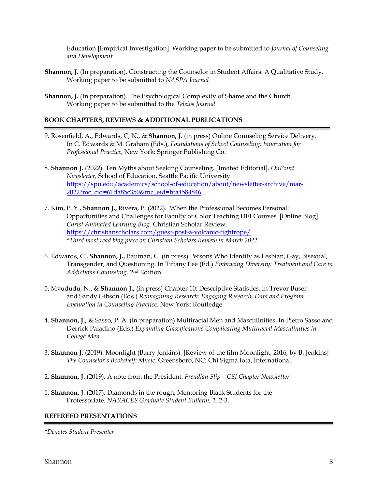Education [Empirical Investigation]. Working paper to be submitted to *Journal of Counseling and Development*

- **Shannon, J.** (In preparation). Constructing the Counselor in Student Affairs: A Qualitative Study. Working paper to be submitted to *NASPA Journal*
- **Shannon, J.** (In preparation). The Psychological Complexity of Shame and the Church. Working paper to be submitted to the *Teleios Journal*

# **BOOK CHAPTERS, REVIEWS & ADDITIONAL PUBLICATIONS**

- 9. Rosenfield, A., Edwards, C, N., & **Shannon, J.** (in press) Online Counseling Service Delivery. In C. Edwards & M. Graham (Eds.), *Foundations of School Counseling: Innovation for Professional Practice,* New York: Springer Publishing Co.
- 8. **Shannon J.** (2022). Ten Myths about Seeking Counseling. [Invited Editorial]. *OnPoint Newsletter,* School of Education, Seattle Pacific University. [https://spu.edu/academics/school-of-education/about/newsletter-archive/mar-](https://spu.edu/academics/school-of-education/about/newsletter-archive/mar-%092022?mc_cid=61da85c350&mc_eid=bfa4584846)[2022?mc\\_cid=61da85c350&mc\\_eid=bfa4584846](https://spu.edu/academics/school-of-education/about/newsletter-archive/mar-%092022?mc_cid=61da85c350&mc_eid=bfa4584846)
- 7. Kim, P. Y., **Shannon J.,** Rivera, P. (2022). When the Professional Becomes Personal: Opportunities and Challenges for Faculty of Color Teaching DEI Courses. [Online Blog]. *. Christ Animated Learning Blog,* Christian Scholar Review. <https://christianscholars.com/guest-post-a-volcanic-tightrope/> \**Third most read blog piece on Christian Scholars Review in March 2022*
- 6. Edwards, C., **Shannon, J.,** Bauman, C. (in press) Persons Who Identify as Lesbian, Gay, Bisexual, Transgender, and Questioning. In Tiffany Lee (Ed.) *Embracing Diversity: Treatment and Care in Addictions Counseling,* 2nd Edition.
- 5. Mvududu, N., & **Shannon J.,** (in press) Chapter 10: Descriptive Statistics. In Trevor Buser and Sandy Gibson (Eds.) *Reimagining Research: Engaging Research, Data and Program Evaluation in Counseling Practice,* New York: Routledge
- 4. **Shannon, J., &** Sasso, P. A. (in preparation) Multiracial Men and Masculinities, In Pietro Sasso and Derrick Paladino (Eds.) *Expanding Classifications Complicating Multiracial Masculinities in College Men*
- 3. **Shannon J.** (2019). Moonlight (Barry Jenkins). [Review of the film Moonlight, 2016, by B. Jenkins] *The Counselor's Bookshelf: Music*. Greensboro, NC: Chi Sigma Iota, International.
- 2. **Shannon, J.** (2019). A note from the President. *Freudian Slip – CSI Chapter Newsletter*
- 1. **Shannon, J**. (2017). Diamonds in the rough: Mentoring Black Students for the Professoriate. *NARACES Graduate Student Bulletin, 1,* 2-3.

#### **REFEREED PRESENTATIONS**

**\****Denotes Student Presenter*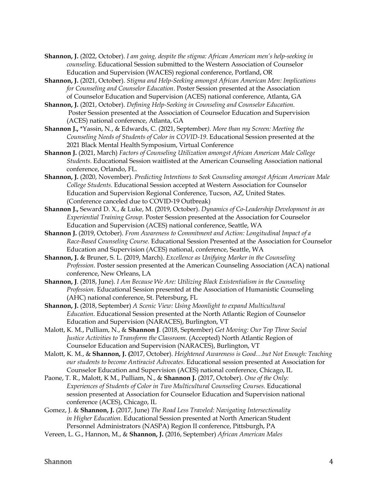- **Shannon, J.** (2022, October). *I am going, despite the stigma: African American men's help-seeking in counseling*. Educational Session submitted to the Western Association of Counselor Education and Supervision (WACES) regional conference, Portland, OR
- **Shannon, J.** (2021, October). *Stigma and Help-Seeking amongst African American Men: Implications for Counseling and Counselor Education*. Poster Session presented at the Association of Counselor Education and Supervision (ACES) national conference, Atlanta, GA
- **Shannon, J.** (2021, October). *Defining Help-Seeking in Counseling and Counselor Education.* Poster Session presented at the Association of Counselor Education and Supervision (ACES) national conference, Atlanta, GA
- **Shannon J.,** \*Yassin, N., & Edwards, C. (2021, September*). More than my Screen: Meeting the Counseling Needs of Students of Color in COVID-19*. Educational Session presented at the 2021 Black Mental Health Symposium, Virtual Conference
- **Shannon J.** (2021, March) *Factors of Counseling Utilization amongst African American Male College Students*. Educational Session waitlisted at the American Counseling Association national conference, Orlando, FL.
- **Shannon, J.** (2020, November). *Predicting Intentions to Seek Counseling amongst African American Male College Students.* Educational Session accepted at Western Association for Counselor Education and Supervision Regional Conference, Tucson, AZ, United States. (Conference canceled due to COVID-19 Outbreak)
- **Shannon J.,** Seward D. X., & Luke, M. (2019, October). *Dynamics of Co-Leadership Development in an Experiential Training Group.* Poster Session presented at the Association for Counselor Education and Supervision (ACES) national conference, Seattle, WA
- **Shannon J.** (2019, October). *From Awareness to Commitment and Action: Longitudinal Impact of a Race-Based Counseling Course.* Educational Session Presented at the Association for Counselor Education and Supervision (ACES) national, conference, Seattle, WA
- **Shannon, J.** & Bruner, S. L. (2019, March). *Excellence as Unifying Marker in the Counseling Profession.* Poster session presented at the American Counseling Association (ACA) national conference, New Orleans, LA
- **Shannon, J**. (2018, June). *I Am Because We Are: Utilizing Black Existentialism in the Counseling Profession.* Educational Session presented at the Association of Humanistic Counseling (AHC) national conference, St. Petersburg, FL
- **Shannon, J.** (2018, September) *A Scenic View: Using Moonlight to expand Multicultural Education.* Educational Session presented at the North Atlantic Region of Counselor Education and Supervision (NARACES), Burlington, VT
- Malott, K. M., Pulliam, N., & **Shannon J**. (2018, September) *Get Moving: Our Top Three Social*  Justice Activities to Transform the Classroom. (Accepted) North Atlantic Region of Counselor Education and Supervision (NARACES), Burlington, VT
- Malott, K. M., & **Shannon, J. (**2017, October). *Heightened Awareness is Good…but Not Enough: Teaching our students to become Antiracist Advocates.* Educational session presented at Association for Counselor Education and Supervision (ACES) national conference, Chicago, IL
- Paone, T. R., Malott, K M., Pulliam, N., & **Shannon J.** (2017, October). *One of the Only:*  Experiences of Students of Color in Two Multicultural Counseling Courses. Educational session presented at Association for Counselor Education and Supervision national conference (ACES), Chicago, IL
- Gomez, J. & **Shannon, J.** (2017, June) *The Road Less Traveled: Navigating Intersectionality in Higher Education.* Educational Session presented at North American Student Personnel Administrators (NASPA) Region II conference, Pittsburgh, PA
- Vereen, L. G., Hannon, M., & **Shannon, J.** (2016, September) *African American Males*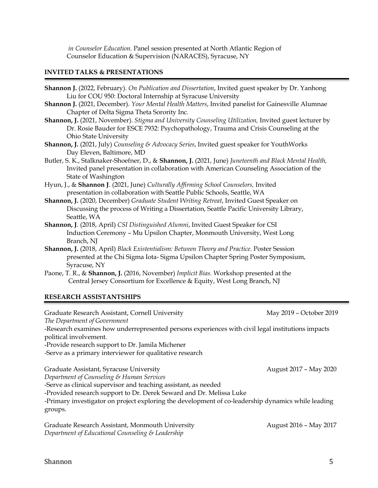*in Counselor Education.* Panel session presented at North Atlantic Region of Counselor Education & Supervision (NARACES), Syracuse, NY

# **INVITED TALKS & PRESENTATIONS**

- **Shannon J.** (2022, February). *On Publication and Dissertation*, Invited guest speaker by Dr. Yanhong Liu for COU 950: Doctoral Internship at Syracuse University
- **Shannon J.** (2021, December). *Your Mental Health Matters*, Invited panelist for Gainesville Alumnae Chapter of Delta Sigma Theta Sorority Inc.
- **Shannon, J.** (2021, November). *Stigma and University Counseling Utilization,* Invited guest lecturer by Dr. Rosie Bauder for ESCE 7932: Psychopathology, Trauma and Crisis Counseling at the Ohio State University
- **Shannon, J.** (2021, July) *Counseling & Advocacy Series*, Invited guest speaker for YouthWorks Day Eleven, Baltimore, MD
- Butler, S. K., Stalknaker-Shoefner, D., & **Shannon, J.** (2021, June) *Juneteenth and Black Mental Health,*  Invited panel presentation in collaboration with American Counseling Association of the State of Washington
- Hyun, J., & **Shannon J**. (2021, June) *Culturally Affirming School Counselors,* Invited presentation in collaboration with Seattle Public Schools, Seattle, WA
- **Shannon, J.** (2020, December) *Graduate Student Writing Retreat*, Invited Guest Speaker on Discussing the process of Writing a Dissertation, Seattle Pacific University Library, Seattle, WA
- **Shannon, J**. (2018, April) *CSI Distinguished Alumni*, Invited Guest Speaker for CSI Induction Ceremony – Mu Upsilon Chapter, Monmouth University, West Long Branch, NJ
- **Shannon, J.** (2018, April) *Black Existentialism: Between Theory and Practice*. Poster Session presented at the Chi Sigma Iota- Sigma Upsilon Chapter Spring Poster Symposium, Syracuse, NY
- Paone, T. R., & **Shannon, J.** (2016, November) *Implicit Bias.* Workshop presented at the Central Jersey Consortium for Excellence & Equity, West Long Branch, NJ

# **RESEARCH ASSISTANTSHIPS**

Graduate Research Assistant, Cornell University May 2019 - October 2019 *The Department of Government* -Research examines how underrepresented persons experiences with civil legal institutions impacts political involvement. -Provide research support to Dr. Jamila Michener -Serve as a primary interviewer for qualitative research Graduate Assistant, Syracuse University August 2017 - May 2020 *Department of Counseling & Human Services* -Serve as clinical supervisor and teaching assistant, as needed -Provided research support to Dr. Derek Seward and Dr. Melissa Luke -Primary investigator on project exploring the development of co-leadership dynamics while leading groups.

Graduate Research Assistant, Monmouth UniversityAugust 2016 – May 2017 *Department of Educational Counseling & Leadership*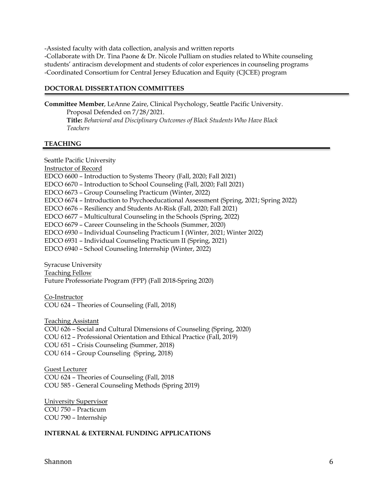-Assisted faculty with data collection, analysis and written reports -Collaborate with Dr. Tina Paone & Dr. Nicole Pulliam on studies related to White counseling students' antiracism development and students of color experiences in counseling programs -Coordinated Consortium for Central Jersey Education and Equity (CJCEE) program

# **DOCTORAL DISSERTATION COMMITTEES**

**Committee Member**, LeAnne Zaire, Clinical Psychology, Seattle Pacific University. Proposal Defended on 7/28/2021. **Title:** *Behavioral and Disciplinary Outcomes of Black Students Who Have Black Teachers*

#### **TEACHING**

Seattle Pacific University Instructor of Record EDCO 6600 – Introduction to Systems Theory (Fall, 2020; Fall 2021) EDCO 6670 – Introduction to School Counseling (Fall, 2020; Fall 2021) EDCO 6673 – Group Counseling Practicum (Winter, 2022) EDCO 6674 – Introduction to Psychoeducational Assessment (Spring, 2021; Spring 2022) EDCO 6676 – Resiliency and Students At-Risk (Fall, 2020; Fall 2021) EDCO 6677 – Multicultural Counseling in the Schools (Spring, 2022) EDCO 6679 – Career Counseling in the Schools (Summer, 2020) EDCO 6930 – Individual Counseling Practicum I (Winter, 2021; Winter 2022) EDCO 6931 – Individual Counseling Practicum II (Spring, 2021) EDCO 6940 – School Counseling Internship (Winter, 2022) Syracuse University Teaching Fellow Future Professoriate Program (FPP) (Fall 2018-Spring 2020) Co-Instructor COU 624 – Theories of Counseling (Fall, 2018) Teaching Assistant COU 626 – Social and Cultural Dimensions of Counseling (Spring, 2020) COU 612 – Professional Orientation and Ethical Practice (Fall, 2019) COU 651 – Crisis Counseling (Summer, 2018) COU 614 – Group Counseling (Spring, 2018)

Guest Lecturer COU 624 – Theories of Counseling (Fall, 2018 COU 585 - General Counseling Methods (Spring 2019)

University Supervisor COU 750 – Practicum COU 790 – Internship

#### **INTERNAL & EXTERNAL FUNDING APPLICATIONS**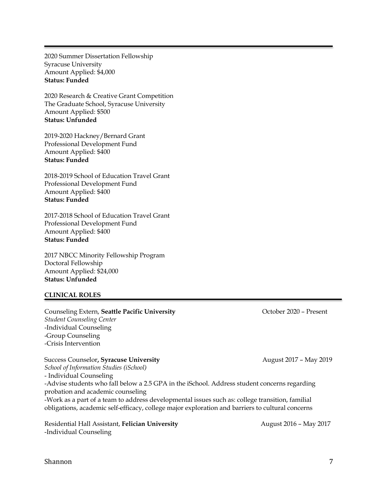2020 Summer Dissertation Fellowship Syracuse University Amount Applied: \$4,000 **Status: Funded**

2020 Research & Creative Grant Competition The Graduate School, Syracuse University Amount Applied: \$500 **Status: Unfunded**

2019-2020 Hackney/Bernard Grant Professional Development Fund Amount Applied: \$400 **Status: Funded**

2018-2019 School of Education Travel Grant Professional Development Fund Amount Applied: \$400 **Status: Funded**

2017-2018 School of Education Travel Grant Professional Development Fund Amount Applied: \$400 **Status: Funded**

2017 NBCC Minority Fellowship Program Doctoral Fellowship Amount Applied: \$24,000 **Status: Unfunded**

#### **CLINICAL ROLES**

Counseling Extern, **Seattle Pacific University Counseling Extern, Seattle Pacific University Counseling Extern**, Seattle *Student Counseling Center* -Individual Counseling -Group Counseling -Crisis Intervention

Success Counselor, **Syracuse University August 2017 – May 2019 August 2017 – May 2019** *School of Information Studies (iSchool)* - Individual Counseling -Advise students who fall below a 2.5 GPA in the iSchool. Address student concerns regarding probation and academic counseling -Work as a part of a team to address developmental issues such as: college transition, familial obligations, academic self-efficacy, college major exploration and barriers to cultural concerns

Residential Hall Assistant, Felician University **August 2016 - May 2017** -Individual Counseling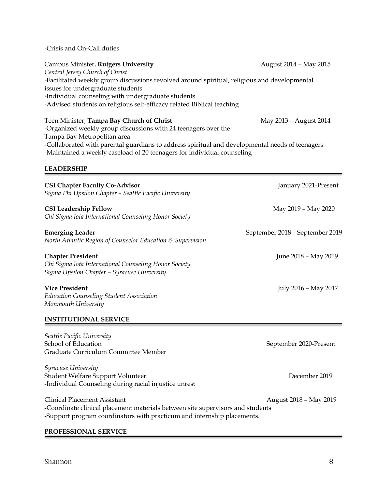-Crisis and On-Call duties

# Campus Minister, **Rutgers University** August 2014 – May 2015 *Central Jersey Church of Christ* -Facilitated weekly group discussions revolved around spiritual, religious and developmental issues for undergraduate students -Individual counseling with undergraduate students -Advised students on religious self-efficacy related Biblical teaching

Teen Minister, **Tampa Bay Church of Christ** May 2013 - August 2014 -Organized weekly group discussions with 24 teenagers over the Tampa Bay Metropolitan area -Collaborated with parental guardians to address spiritual and developmental needs of teenagers -Maintained a weekly caseload of 20 teenagers for individual counseling

# **LEADERSHIP**

| <b>CSI Chapter Faculty Co-Advisor</b><br>Sigma Phi Upsilon Chapter – Seattle Pacific University                                                                                                  | January 2021-Present            |
|--------------------------------------------------------------------------------------------------------------------------------------------------------------------------------------------------|---------------------------------|
| <b>CSI Leadership Fellow</b><br>Chi Sigma Iota International Counseling Honor Society                                                                                                            | May 2019 - May 2020             |
| <b>Emerging Leader</b><br>North Atlantic Region of Counselor Education & Supervision                                                                                                             | September 2018 - September 2019 |
| <b>Chapter President</b><br>Chi Sigma Iota International Counseling Honor Society<br>Sigma Upsilon Chapter - Syracuse University                                                                 | June 2018 - May 2019            |
| <b>Vice President</b><br><b>Education Counseling Student Association</b><br>Monmouth University                                                                                                  | July 2016 - May 2017            |
| <b>INSTITUTIONAL SERVICE</b>                                                                                                                                                                     |                                 |
| Seattle Pacific University<br>School of Education<br>Graduate Curriculum Committee Member                                                                                                        | September 2020-Present          |
| Syracuse University<br>Student Welfare Support Volunteer<br>-Individual Counseling during racial injustice unrest                                                                                | December 2019                   |
| <b>Clinical Placement Assistant</b><br>-Coordinate clinical placement materials between site supervisors and students<br>-Support program coordinators with practicum and internship placements. | August 2018 - May 2019          |

# **PROFESSIONAL SERVICE**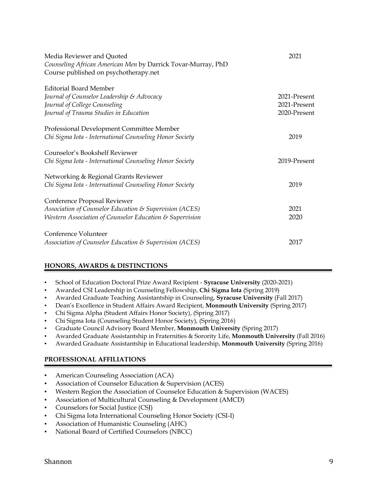| Media Reviewer and Quoted<br>Counseling African American Men by Darrick Tovar-Murray, PhD<br>Course published on psychotherapy.net                     | 2021                                         |
|--------------------------------------------------------------------------------------------------------------------------------------------------------|----------------------------------------------|
| <b>Editorial Board Member</b><br>Journal of Counselor Leadership & Advocacy<br>Journal of College Counseling<br>Journal of Trauma Studies in Education | 2021-Present<br>2021-Present<br>2020-Present |
| Professional Development Committee Member<br>Chi Sigma Iota - International Counseling Honor Society                                                   | 2019                                         |
| Counselor's Bookshelf Reviewer<br>Chi Sigma Iota - International Counseling Honor Society                                                              | 2019-Present                                 |
| Networking & Regional Grants Reviewer<br>Chi Sigma Iota - International Counseling Honor Society                                                       | 2019                                         |
| Conference Proposal Reviewer<br>Association of Counselor Education & Supervision (ACES)<br>Western Association of Counselor Education & Supervision    | 2021<br>2020                                 |
| Conference Volunteer<br>Association of Counselor Education & Supervision (ACES)                                                                        | 2017                                         |

# **HONORS, AWARDS & DISTINCTIONS**

- School of Education Doctoral Prize Award Recipient **Syracuse University** (2020-2021)
- Awarded CSI Leadership in Counseling Fellowship, **Chi Sigma Iota** (Spring 2019)
- Awarded Graduate Teaching Assistantship in Counseling, **Syracuse University** (Fall 2017)
- Dean's Excellence in Student Affairs Award Recipient, **Monmouth University** (Spring 2017)
- Chi Sigma Alpha (Student Affairs Honor Society), (Spring 2017)
- Chi Sigma Iota (Counseling Student Honor Society), (Spring 2016)
- Graduate Council Advisory Board Member, **Monmouth University** (Spring 2017)
- Awarded Graduate Assistantship in Fraternities & Sorority Life, **Monmouth University** (Fall 2016)
- Awarded Graduate Assistantship in Educational leadership, **Monmouth University** (Spring 2016)

# **PROFESSIONAL AFFILIATIONS**

- **American Counseling Association (ACA)**
- Association of Counselor Education & Supervision (ACES)
- Western Region the Association of Counselor Education & Supervision (WACES)
- Association of Multicultural Counseling & Development (AMCD)
- Counselors for Social Justice (CSJ)
- Chi Sigma Iota International Counseling Honor Society (CSI-I)
- Association of Humanistic Counseling (AHC)
- National Board of Certified Counselors (NBCC)